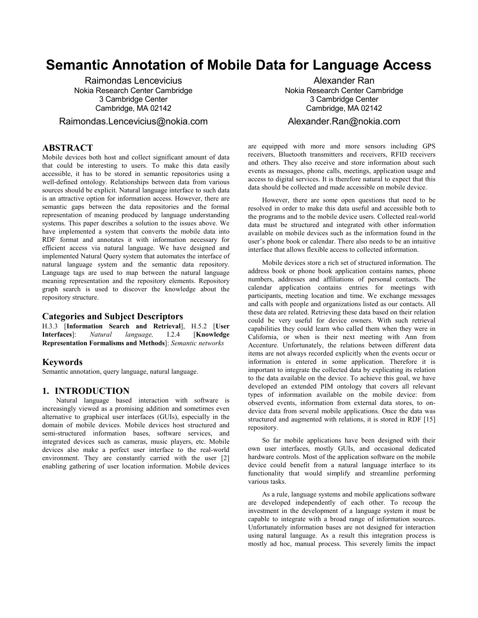# **Semantic Annotation of Mobile Data for Language Access**

Raimondas Lencevicius Nokia Research Center Cambridge 3 Cambridge Center Cambridge, MA 02142

Raimondas.Lencevicius@nokia.com

# **ABSTRACT**

Mobile devices both host and collect significant amount of data that could be interesting to users. To make this data easily accessible, it has to be stored in semantic repositories using a well-defined ontology. Relationships between data from various sources should be explicit. Natural language interface to such data is an attractive option for information access. However, there are semantic gaps between the data repositories and the formal representation of meaning produced by language understanding systems. This paper describes a solution to the issues above. We have implemented a system that converts the mobile data into RDF format and annotates it with information necessary for efficient access via natural language. We have designed and implemented Natural Query system that automates the interface of natural language system and the semantic data repository. Language tags are used to map between the natural language meaning representation and the repository elements. Repository graph search is used to discover the knowledge about the repository structure.

### **Categories and Subject Descriptors**

H.3.3 [**Information Search and Retrieval**], H.5.2 [**User Interfaces**]: *Natural language,* I.2.4 [**Knowledge Representation Formalisms and Methods**]: *Semantic networks*

### **Keywords**

Semantic annotation, query language, natural language.

# **1. INTRODUCTION**

Natural language based interaction with software is increasingly viewed as a promising addition and sometimes even alternative to graphical user interfaces (GUIs), especially in the domain of mobile devices. Mobile devices host structured and semi-structured information bases, software services, and integrated devices such as cameras, music players, etc. Mobile devices also make a perfect user interface to the real-world environment. They are constantly carried with the user [2] enabling gathering of user location information. Mobile devices

Alexander Ran Nokia Research Center Cambridge 3 Cambridge Center Cambridge, MA 02142

# Alexander.Ran@nokia.com

are equipped with more and more sensors including GPS receivers, Bluetooth transmitters and receivers, RFID receivers and others. They also receive and store information about such events as messages, phone calls, meetings, application usage and access to digital services. It is therefore natural to expect that this data should be collected and made accessible on mobile device.

However, there are some open questions that need to be resolved in order to make this data useful and accessible both to the programs and to the mobile device users. Collected real-world data must be structured and integrated with other information available on mobile devices such as the information found in the user's phone book or calendar. There also needs to be an intuitive interface that allows flexible access to collected information.

Mobile devices store a rich set of structured information. The address book or phone book application contains names, phone numbers, addresses and affiliations of personal contacts. The calendar application contains entries for meetings with participants, meeting location and time. We exchange messages and calls with people and organizations listed as our contacts. All these data are related. Retrieving these data based on their relation could be very useful for device owners. With such retrieval capabilities they could learn who called them when they were in California, or when is their next meeting with Ann from Accenture. Unfortunately, the relations between different data items are not always recorded explicitly when the events occur or information is entered in some application. Therefore it is important to integrate the collected data by explicating its relation to the data available on the device. To achieve this goal, we have developed an extended PIM ontology that covers all relevant types of information available on the mobile device: from observed events, information from external data stores, to ondevice data from several mobile applications. Once the data was structured and augmented with relations, it is stored in RDF [15] repository.

So far mobile applications have been designed with their own user interfaces, mostly GUIs, and occasional dedicated hardware controls. Most of the application software on the mobile device could benefit from a natural language interface to its functionality that would simplify and streamline performing various tasks.

As a rule, language systems and mobile applications software are developed independently of each other. To recoup the investment in the development of a language system it must be capable to integrate with a broad range of information sources. Unfortunately information bases are not designed for interaction using natural language. As a result this integration process is mostly ad hoc, manual process. This severely limits the impact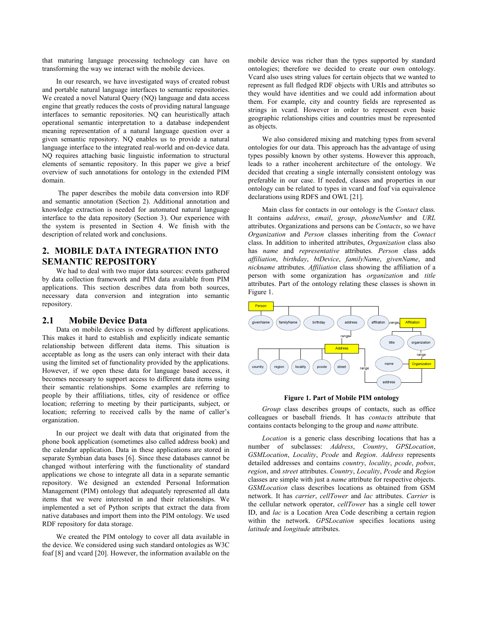that maturing language processing technology can have on transforming the way we interact with the mobile devices.

In our research, we have investigated ways of created robust and portable natural language interfaces to semantic repositories. We created a novel Natural Query (NQ) language and data access engine that greatly reduces the costs of providing natural language interfaces to semantic repositories. NQ can heuristically attach operational semantic interpretation to a database independent meaning representation of a natural language question over a given semantic repository. NQ enables us to provide a natural language interface to the integrated real-world and on-device data. NQ requires attaching basic linguistic information to structural elements of semantic repository. In this paper we give a brief overview of such annotations for ontology in the extended PIM domain.

 The paper describes the mobile data conversion into RDF and semantic annotation (Section 2). Additional annotation and knowledge extraction is needed for automated natural language interface to the data repository (Section 3). Our experience with the system is presented in Section 4. We finish with the description of related work and conclusions.

# **2. MOBILE DATA INTEGRATION INTO SEMANTIC REPOSITORY**

We had to deal with two major data sources: events gathered by data collection framework and PIM data available from PIM applications. This section describes data from both sources, necessary data conversion and integration into semantic repository.

### **2.1 Mobile Device Data**

Data on mobile devices is owned by different applications. This makes it hard to establish and explicitly indicate semantic relationship between different data items. This situation is acceptable as long as the users can only interact with their data using the limited set of functionality provided by the applications. However, if we open these data for language based access, it becomes necessary to support access to different data items using their semantic relationships. Some examples are referring to people by their affiliations, titles, city of residence or office location; referring to meeting by their participants, subject, or location; referring to received calls by the name of caller's organization.

In our project we dealt with data that originated from the phone book application (sometimes also called address book) and the calendar application. Data in these applications are stored in separate Symbian data bases [6]. Since these databases cannot be changed without interfering with the functionality of standard applications we chose to integrate all data in a separate semantic repository. We designed an extended Personal Information Management (PIM) ontology that adequately represented all data items that we were interested in and their relationships. We implemented a set of Python scripts that extract the data from native databases and import them into the PIM ontology. We used RDF repository for data storage.

We created the PIM ontology to cover all data available in the device. We considered using such standard ontologies as W3C foaf [8] and vcard [20]. However, the information available on the mobile device was richer than the types supported by standard ontologies; therefore we decided to create our own ontology. Vcard also uses string values for certain objects that we wanted to represent as full fledged RDF objects with URIs and attributes so they would have identities and we could add information about them. For example, city and country fields are represented as strings in vcard. However in order to represent even basic geographic relationships cities and countries must be represented as objects.

We also considered mixing and matching types from several ontologies for our data. This approach has the advantage of using types possibly known by other systems. However this approach, leads to a rather incoherent architecture of the ontology. We decided that creating a single internally consistent ontology was preferable in our case. If needed, classes and properties in our ontology can be related to types in vcard and foaf via equivalence declarations using RDFS and OWL [21].

Main class for contacts in our ontology is the *Contact* class. It contains *address*, *email*, *group*, *phoneNumber* and *URL* attributes. Organizations and persons can be *Contacts*, so we have *Organization* and *Person* classes inheriting from the *Contact* class. In addition to inherited attributes, *Organization* class also has *name* and *representative* attributes. *Person* class adds *affiliation*, *birthday*, *btDevice*, *familyName*, *givenName*, and *nickname* attributes. *Affiliation* class showing the affiliation of a person with some organization has *organization* and *title* attributes. Part of the ontology relating these classes is shown in Figure 1.



#### **Figure 1. Part of Mobile PIM ontology**

*Group* class describes groups of contacts, such as office colleagues or baseball friends. It has *contacts* attribute that contains contacts belonging to the group and *name* attribute.

*Location* is a generic class describing locations that has a number of subclasses: *Address*, *Country*, *GPSLocation*, *GSMLocation*, *Locality*, *Pcode* and *Region*. *Address* represents detailed addresses and contains *country*, *locality*, *pcode*, *pobox*, *region*, and *street* attributes. *Country*, *Locality*, *Pcode* and *Region* classes are simple with just a *name* attribute for respective objects. *GSMLocation* class describes locations as obtained from GSM network. It has *carrier*, *cellTower* and *lac* attributes. *Carrier* is the cellular network operator, *cellTower* has a single cell tower ID, and *lac* is a Location Area Code describing a certain region within the network. *GPSLocation* specifies locations using *latitude* and *longitude* attributes.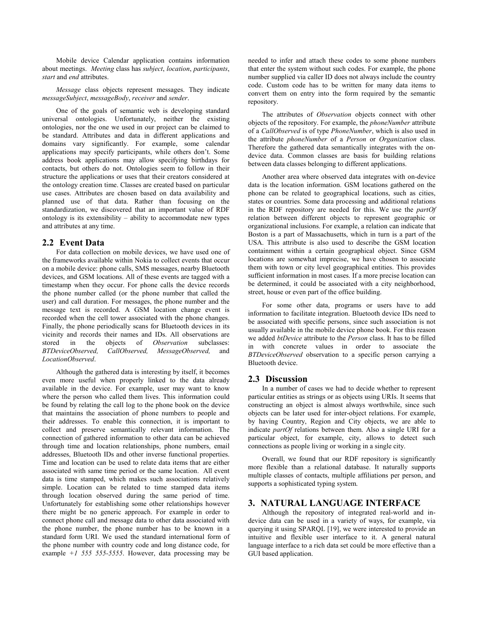Mobile device Calendar application contains information about meetings. *Meeting* class has *subject*, *location*, *participants*, *start* and *end* attributes.

*Message* class objects represent messages. They indicate *messageSubject*, *messageBody*, *receiver* and *sender*.

One of the goals of semantic web is developing standard universal ontologies. Unfortunately, neither the existing ontologies, nor the one we used in our project can be claimed to be standard. Attributes and data in different applications and domains vary significantly. For example, some calendar applications may specify participants, while others don't. Some address book applications may allow specifying birthdays for contacts, but others do not. Ontologies seem to follow in their structure the applications or uses that their creators considered at the ontology creation time. Classes are created based on particular use cases. Attributes are chosen based on data availability and planned use of that data. Rather than focusing on the standardization, we discovered that an important value of RDF ontology is its extensibility – ability to accommodate new types and attributes at any time.

### **2.2 Event Data**

For data collection on mobile devices, we have used one of the frameworks available within Nokia to collect events that occur on a mobile device: phone calls, SMS messages, nearby Bluetooth devices, and GSM locations. All of these events are tagged with a timestamp when they occur. For phone calls the device records the phone number called (or the phone number that called the user) and call duration. For messages, the phone number and the message text is recorded. A GSM location change event is recorded when the cell tower associated with the phone changes. Finally, the phone periodically scans for Bluetooth devices in its vicinity and records their names and IDs. All observations are stored in the objects of *Observation* subclasses: *BTDeviceObserved, CallObserved, MessageObserved,* and *LocationObserved*.

Although the gathered data is interesting by itself, it becomes even more useful when properly linked to the data already available in the device. For example, user may want to know where the person who called them lives. This information could be found by relating the call log to the phone book on the device that maintains the association of phone numbers to people and their addresses. To enable this connection, it is important to collect and preserve semantically relevant information. The connection of gathered information to other data can be achieved through time and location relationships, phone numbers, email addresses, Bluetooth IDs and other inverse functional properties. Time and location can be used to relate data items that are either associated with same time period or the same location. All event data is time stamped, which makes such associations relatively simple. Location can be related to time stamped data items through location observed during the same period of time. Unfortunately for establishing some other relationships however there might be no generic approach. For example in order to connect phone call and message data to other data associated with the phone number, the phone number has to be known in a standard form URI. We used the standard international form of the phone number with country code and long distance code, for example *+1 555 555-5555*. However, data processing may be needed to infer and attach these codes to some phone numbers that enter the system without such codes. For example, the phone number supplied via caller ID does not always include the country code. Custom code has to be written for many data items to convert them on entry into the form required by the semantic repository.

The attributes of *Observation* objects connect with other objects of the repository. For example, the *phoneNumber* attribute of a *CallObserved* is of type *PhoneNumber*, which is also used in the attribute *phoneNumber* of a *Person* or *Organization* class. Therefore the gathered data semantically integrates with the ondevice data. Common classes are basis for building relations between data classes belonging to different applications.

Another area where observed data integrates with on-device data is the location information. GSM locations gathered on the phone can be related to geographical locations, such as cities, states or countries. Some data processing and additional relations in the RDF repository are needed for this. We use the *partOf* relation between different objects to represent geographic or organizational inclusions. For example, a relation can indicate that Boston is a part of Massachusetts, which in turn is a part of the USA. This attribute is also used to describe the GSM location containment within a certain geographical object. Since GSM locations are somewhat imprecise, we have chosen to associate them with town or city level geographical entities. This provides sufficient information in most cases. If a more precise location can be determined, it could be associated with a city neighborhood, street, house or even part of the office building.

For some other data, programs or users have to add information to facilitate integration. Bluetooth device IDs need to be associated with specific persons, since such association is not usually available in the mobile device phone book. For this reason we added *btDevice* attribute to the *Person* class. It has to be filled in with concrete values in order to associate the *BTDeviceObserved* observation to a specific person carrying a Bluetooth device.

# **2.3 Discussion**

In a number of cases we had to decide whether to represent particular entities as strings or as objects using URIs. It seems that constructing an object is almost always worthwhile, since such objects can be later used for inter-object relations. For example, by having Country, Region and City objects, we are able to indicate *partOf* relations between them. Also a single URI for a particular object, for example, city, allows to detect such connections as people living or working in a single city.

Overall, we found that our RDF repository is significantly more flexible than a relational database. It naturally supports multiple classes of contacts, multiple affiliations per person, and supports a sophisticated typing system.

# **3. NATURAL LANGUAGE INTERFACE**

Although the repository of integrated real-world and indevice data can be used in a variety of ways, for example, via querying it using SPARQL [19], we were interested to provide an intuitive and flexible user interface to it. A general natural language interface to a rich data set could be more effective than a GUI based application.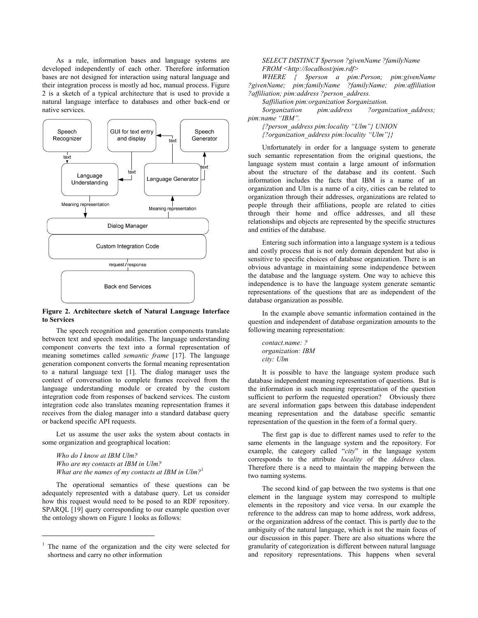As a rule, information bases and language systems are developed independently of each other. Therefore information bases are not designed for interaction using natural language and their integration process is mostly ad hoc, manual process. Figure 2 is a sketch of a typical architecture that is used to provide a natural language interface to databases and other back-end or native services.



### **Figure 2. Architecture sketch of Natural Language Interface to Services**

The speech recognition and generation components translate between text and speech modalities. The language understanding component converts the text into a formal representation of meaning sometimes called *semantic frame* [17]. The language generation component converts the formal meaning representation to a natural language text [1]. The dialog manager uses the context of conversation to complete frames received from the language understanding module or created by the custom integration code from responses of backend services. The custom integration code also translates meaning representation frames it receives from the dialog manager into a standard database query or backend specific API requests.

Let us assume the user asks the system about contacts in some organization and geographical location:

*Who do I know at IBM Ulm? Who are my contacts at IBM in Ulm? What are the names of my contacts at IBM in Ulm?*<sup>1</sup>

The operational semantics of these questions can be adequately represented with a database query. Let us consider how this request would need to be posed to an RDF repository. SPARQL [19] query corresponding to our example question over the ontology shown on Figure 1 looks as follows:

 $\overline{a}$ 

*SELECT DISTINCT \$person ?givenName ?familyName FROM <http://localhost/pim.rdf>* 

*WHERE { \$person a pim:Person; pim:givenName ?givenName; pim:familyName ?familyName; pim:affiliation ?affiliation; pim:address ?person\_address.* 

*\$affiliation pim:organization \$organization.* 

*\$organization pim:address ?organization\_address; pim:name "IBM".* 

*{?person\_address pim:locality "Ulm"} UNION {?organization\_address pim:locality "Ulm"}}* 

Unfortunately in order for a language system to generate such semantic representation from the original questions, the language system must contain a large amount of information about the structure of the database and its content. Such information includes the facts that IBM is a name of an organization and Ulm is a name of a city, cities can be related to organization through their addresses, organizations are related to people through their affiliations, people are related to cities through their home and office addresses, and all these relationships and objects are represented by the specific structures and entities of the database.

Entering such information into a language system is a tedious and costly process that is not only domain dependent but also is sensitive to specific choices of database organization. There is an obvious advantage in maintaining some independence between the database and the language system. One way to achieve this independence is to have the language system generate semantic representations of the questions that are as independent of the database organization as possible.

In the example above semantic information contained in the question and independent of database organization amounts to the following meaning representation:

*contact.name: ? organization: IBM city: Ulm* 

It is possible to have the language system produce such database independent meaning representation of questions. But is the information in such meaning representation of the question sufficient to perform the requested operation? Obviously there are several information gaps between this database independent meaning representation and the database specific semantic representation of the question in the form of a formal query.

The first gap is due to different names used to refer to the same elements in the language system and the repository. For example, the category called "*city*" in the language system corresponds to the attribute *locality* of the *Address* class. Therefore there is a need to maintain the mapping between the two naming systems.

The second kind of gap between the two systems is that one element in the language system may correspond to multiple elements in the repository and vice versa. In our example the reference to the address can map to home address, work address, or the organization address of the contact. This is partly due to the ambiguity of the natural language, which is not the main focus of our discussion in this paper. There are also situations where the granularity of categorization is different between natural language and repository representations. This happens when several

<sup>1</sup> The name of the organization and the city were selected for shortness and carry no other information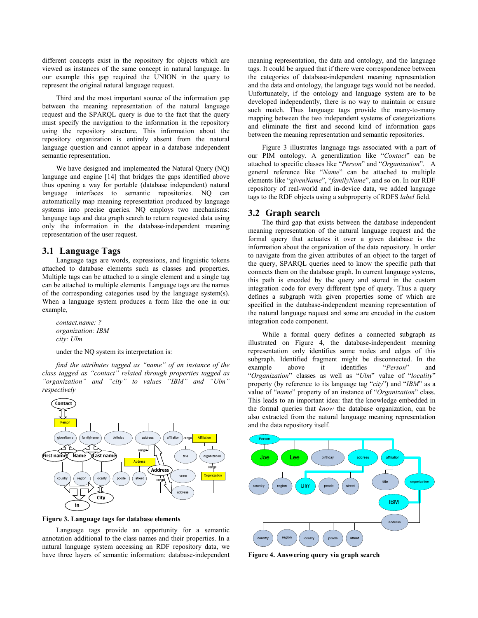different concepts exist in the repository for objects which are viewed as instances of the same concept in natural language. In our example this gap required the UNION in the query to represent the original natural language request.

Third and the most important source of the information gap between the meaning representation of the natural language request and the SPARQL query is due to the fact that the query must specify the navigation to the information in the repository using the repository structure. This information about the repository organization is entirely absent from the natural language question and cannot appear in a database independent semantic representation.

We have designed and implemented the Natural Query (NQ) language and engine [14] that bridges the gaps identified above thus opening a way for portable (database independent) natural language interfaces to semantic repositories. NQ can automatically map meaning representation produced by language systems into precise queries. NQ employs two mechanisms: language tags and data graph search to return requested data using only the information in the database-independent meaning representation of the user request.

## **3.1 Language Tags**

Language tags are words, expressions, and linguistic tokens attached to database elements such as classes and properties. Multiple tags can be attached to a single element and a single tag can be attached to multiple elements. Language tags are the names of the corresponding categories used by the language system(s). When a language system produces a form like the one in our example,

*contact.name: ? organization: IBM city: Ulm*

under the NQ system its interpretation is:

*find the attributes tagged as "name" of an instance of the class tagged as "contact" related through properties tagged as "organization" and "city" to values "IBM" and "Ulm" respectively* 



**Figure 3. Language tags for database elements** 

Language tags provide an opportunity for a semantic annotation additional to the class names and their properties. In a natural language system accessing an RDF repository data, we have three layers of semantic information: database-independent meaning representation, the data and ontology, and the language tags. It could be argued that if there were correspondence between the categories of database-independent meaning representation and the data and ontology, the language tags would not be needed. Unfortunately, if the ontology and language system are to be developed independently, there is no way to maintain or ensure such match. Thus language tags provide the many-to-many mapping between the two independent systems of categorizations and eliminate the first and second kind of information gaps between the meaning representation and semantic repositories.

Figure 3 illustrates language tags associated with a part of our PIM ontology. A generalization like "*Contact*" can be attached to specific classes like "*Person*" and "*Organization*". A general reference like "*Name*" can be attached to multiple elements like "*givenName*", "*familyName*", and so on. In our RDF repository of real-world and in-device data, we added language tags to the RDF objects using a subproperty of RDFS *label* field.

### **3.2 Graph search**

The third gap that exists between the database independent meaning representation of the natural language request and the formal query that actuates it over a given database is the information about the organization of the data repository. In order to navigate from the given attributes of an object to the target of the query, SPARQL queries need to know the specific path that connects them on the database graph. In current language systems, this path is encoded by the query and stored in the custom integration code for every different type of query. Thus a query defines a subgraph with given properties some of which are specified in the database-independent meaning representation of the natural language request and some are encoded in the custom integration code component.

While a formal query defines a connected subgraph as illustrated on Figure 4, the database-independent meaning representation only identifies some nodes and edges of this subgraph. Identified fragment might be disconnected. In the example above it identifies "*Person*" and "*Organization*" classes as well as "*Ulm*" value of "*locality*" property (by reference to its language tag "*city*") and "*IBM*" as a value of "*name*" property of an instance of "*Organization*" class. This leads to an important idea: that the knowledge embedded in the formal queries that *know* the database organization, can be also extracted from the natural language meaning representation and the data repository itself.



**Figure 4. Answering query via graph search**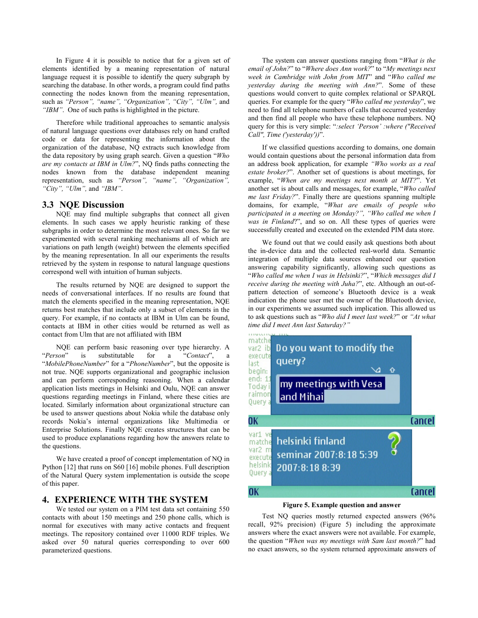In Figure 4 it is possible to notice that for a given set of elements identified by a meaning representation of natural language request it is possible to identify the query subgraph by searching the database. In other words, a program could find paths connecting the nodes known from the meaning representation, such as *"Person", "name", "Organization", "City", "Ulm",* and *"IBM"*. One of such paths is highlighted in the picture.

Therefore while traditional approaches to semantic analysis of natural language questions over databases rely on hand crafted code or data for representing the information about the organization of the database, NQ extracts such knowledge from the data repository by using graph search. Given a question "*Who are my contacts at IBM in Ulm?*", NQ finds paths connecting the nodes known from the database independent meaning representation, such as *"Person", "name", "Organization", "City", "Ulm",* and *"IBM"*.

### **3.3 NQE Discussion**

NQE may find multiple subgraphs that connect all given elements. In such cases we apply heuristic ranking of these subgraphs in order to determine the most relevant ones. So far we experimented with several ranking mechanisms all of which are variations on path length (weight) between the elements specified by the meaning representation. In all our experiments the results retrieved by the system in response to natural language questions correspond well with intuition of human subjects.

The results returned by NQE are designed to support the needs of conversational interfaces. If no results are found that match the elements specified in the meaning representation, NQE returns best matches that include only a subset of elements in the query. For example, if no contacts at IBM in Ulm can be found, contacts at IBM in other cities would be returned as well as contact from Ulm that are not affiliated with IBM

NQE can perform basic reasoning over type hierarchy. A "*Person*" is substitutable for a "*Contact*", a "*MobilePhoneNumber*" for a "*PhoneNumber*", but the opposite is not true. NQE supports organizational and geographic inclusion and can perform corresponding reasoning. When a calendar application lists meetings in Helsinki and Oulu, NQE can answer questions regarding meetings in Finland, where these cities are located. Similarly information about organizational structure can be used to answer questions about Nokia while the database only records Nokia's internal organizations like Multimedia or Enterprise Solutions. Finally NQE creates structures that can be used to produce explanations regarding how the answers relate to the questions.

We have created a proof of concept implementation of NQ in Python [12] that runs on S60 [16] mobile phones. Full description of the Natural Query system implementation is outside the scope of this paper.

### **4. EXPERIENCE WITH THE SYSTEM**

We tested our system on a PIM test data set containing 550 contacts with about 150 meetings and 250 phone calls, which is normal for executives with many active contacts and frequent meetings. The repository contained over 11000 RDF triples. We asked over 50 natural queries corresponding to over 600 parameterized questions.

The system can answer questions ranging from "*What is the email of John?*" to "*Where does Ann work?*" to "*My meetings next week in Cambridge with John from MIT*" and "*Who called me yesterday during the meeting with Ann?*". Some of these questions would convert to quite complex relational or SPARQL queries. For example for the query "*Who called me yesterday*", we need to find all telephone numbers of calls that occurred yesterday and then find all people who have these telephone numbers. NQ query for this is very simple: "*:select 'Person' :where ("Received Call", Time ('yesterday'))*".

If we classified questions according to domains, one domain would contain questions about the personal information data from an address book application, for example *"Who works as a real estate broker?*". Another set of questions is about meetings, for example, "*When are my meetings next month at MIT?*". Yet another set is about calls and messages, for example, "*Who called me last Friday?*". Finally there are questions spanning multiple domains, for example, "*What are emails of people who participated in a meeting on Monday?", "Who called me when I was in Finland*?", and so on. All these types of queries were successfully created and executed on the extended PIM data store.

We found out that we could easily ask questions both about the in-device data and the collected real-world data. Semantic integration of multiple data sources enhanced our question answering capability significantly, allowing such questions as "*Who called me when I was in Helsinki?*", "*Which messages did I receive during the meeting with Juha?"*, etc. Although an out-ofpattern detection of someone's Bluetooth device is a weak indication the phone user met the owner of the Bluetooth device, in our experiments we assumed such implication. This allowed us to ask questions such as "*Who did I meet last week?*" or *"At what time did I meet Ann last Saturday?"*



#### **Figure 5. Example question and answer**

Test NQ queries mostly returned expected answers (96% recall, 92% precision) (Figure 5) including the approximate answers where the exact answers were not available. For example, the question "*When was my meetings with Sam last month?*" had no exact answers, so the system returned approximate answers of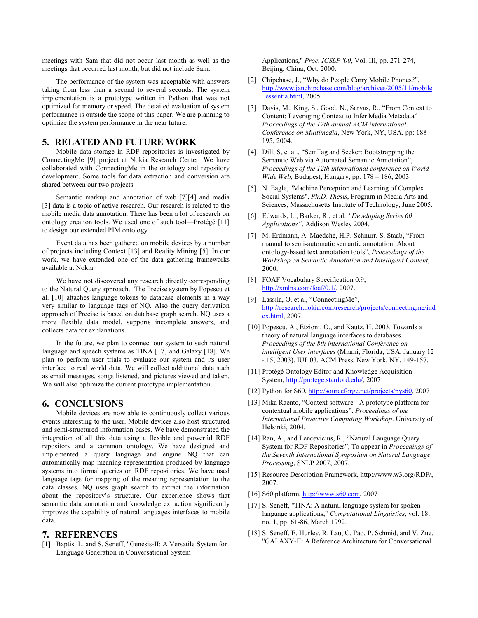meetings with Sam that did not occur last month as well as the meetings that occurred last month, but did not include Sam.

The performance of the system was acceptable with answers taking from less than a second to several seconds. The system implementation is a prototype written in Python that was not optimized for memory or speed. The detailed evaluation of system performance is outside the scope of this paper. We are planning to optimize the system performance in the near future.

# **5. RELATED AND FUTURE WORK**

Mobile data storage in RDF repositories is investigated by ConnectingMe [9] project at Nokia Research Center. We have collaborated with ConnectingMe in the ontology and repository development. Some tools for data extraction and conversion are shared between our two projects.

Semantic markup and annotation of web [7][4] and media [3] data is a topic of active research. Our research is related to the mobile media data annotation. There has been a lot of research on ontology creation tools. We used one of such tool—Protégé [11] to design our extended PIM ontology.

Event data has been gathered on mobile devices by a number of projects including Context [13] and Reality Mining [5]. In our work, we have extended one of the data gathering frameworks available at Nokia.

We have not discovered any research directly corresponding to the Natural Query approach. The Precise system by Popescu et al. [10] attaches language tokens to database elements in a way very similar to language tags of NQ. Also the query derivation approach of Precise is based on database graph search. NQ uses a more flexible data model, supports incomplete answers, and collects data for explanations.

In the future, we plan to connect our system to such natural language and speech systems as TINA [17] and Galaxy [18]. We plan to perform user trials to evaluate our system and its user interface to real world data. We will collect additional data such as email messages, songs listened, and pictures viewed and taken. We will also optimize the current prototype implementation.

### **6. CONCLUSIONS**

Mobile devices are now able to continuously collect various events interesting to the user. Mobile devices also host structured and semi-structured information bases. We have demonstrated the integration of all this data using a flexible and powerful RDF repository and a common ontology. We have designed and implemented a query language and engine NQ that can automatically map meaning representation produced by language systems into formal queries on RDF repositories. We have used language tags for mapping of the meaning representation to the data classes. NQ uses graph search to extract the information about the repository's structure. Our experience shows that semantic data annotation and knowledge extraction significantly improves the capability of natural languages interfaces to mobile data.

### **7. REFERENCES**

[1] Baptist L. and S. Seneff, "Genesis-II: A Versatile System for Language Generation in Conversational System

Applications," *Proc. ICSLP '00*, Vol. III, pp. 271-274, Beijing, China, Oct. 2000.

- [2] Chipchase, J., "Why do People Carry Mobile Phones?", http://www.janchipchase.com/blog/archives/2005/11/mobile \_essentia.html, 2005.
- [3] Davis, M., King, S., Good, N., Sarvas, R., "From Context to Content: Leveraging Context to Infer Media Metadata" *Proceedings of the 12th annual ACM international Conference on Multimedia*, New York, NY, USA, pp: 188 – 195, 2004.
- [4] Dill, S, et al., "SemTag and Seeker: Bootstrapping the Semantic Web via Automated Semantic Annotation", *Proceedings of the 12th international conference on World Wide Web*, Budapest, Hungary, pp: 178 – 186, 2003.
- [5] N. Eagle, "Machine Perception and Learning of Complex Social Systems", *Ph.D. Thesis*, Program in Media Arts and Sciences, Massachusetts Institute of Technology, June 2005.
- [6] Edwards, L., Barker, R., et al. *"Developing Series 60 Applications"*, Addison Wesley 2004.
- [7] M. Erdmann, A. Maedche, H.P. Schnurr, S. Staab, "From manual to semi-automatic semantic annotation: About ontology-based text annotation tools", *Proceedings of the Workshop on Semantic Annotation and Intelligent Content*, 2000.
- [8] FOAF Vocabulary Specification 0.9, http://xmlns.com/foaf/0.1/, 2007.
- [9] Lassila, O. et al, "ConnectingMe", http://research.nokia.com/research/projects/connectingme/ind ex.html, 2007.
- [10] Popescu, A., Etzioni, O., and Kautz, H. 2003. Towards a theory of natural language interfaces to databases. *Proceedings of the 8th international Conference on intelligent User interfaces* (Miami, Florida, USA, January 12 - 15, 2003). IUI '03. ACM Press, New York, NY, 149-157.
- [11] Protégé Ontology Editor and Knowledge Acquisition System, http://protege.stanford.edu/, 2007
- [12] Python for S60, http://sourceforge.net/projects/pys60, 2007
- [13] Mika Raento, "Context software A prototype platform for contextual mobile applications". *Proceedings of the International Proactive Computing Workshop*. University of Helsinki, 2004.
- [14] Ran, A., and Lencevicius, R., "Natural Language Query System for RDF Repositories", To appear in *Proceedings of the Seventh International Symposium on Natural Language Processing*, SNLP 2007, 2007.
- [15] Resource Description Framework, http://www.w3.org/RDF/, 2007.
- [16] S60 platform, http://www.s60.com, 2007
- [17] S. Seneff, "TINA: A natural language system for spoken language applications," *Computational Linguistics*, vol. 18, no. 1, pp. 61-86, March 1992.
- [18] S. Seneff, E. Hurley, R. Lau, C. Pao, P. Schmid, and V. Zue, "GALAXY-II: A Reference Architecture for Conversational